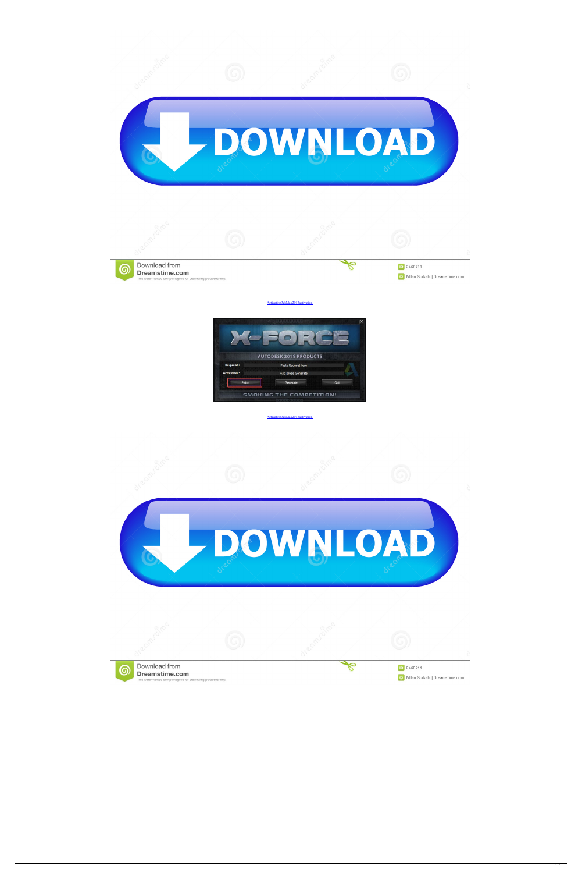

[Activation3dsMax2013activation](https://tlniurl.com/1wnfp9)



## [Activation3dsMax2013activation](https://tlniurl.com/1wnfp9)